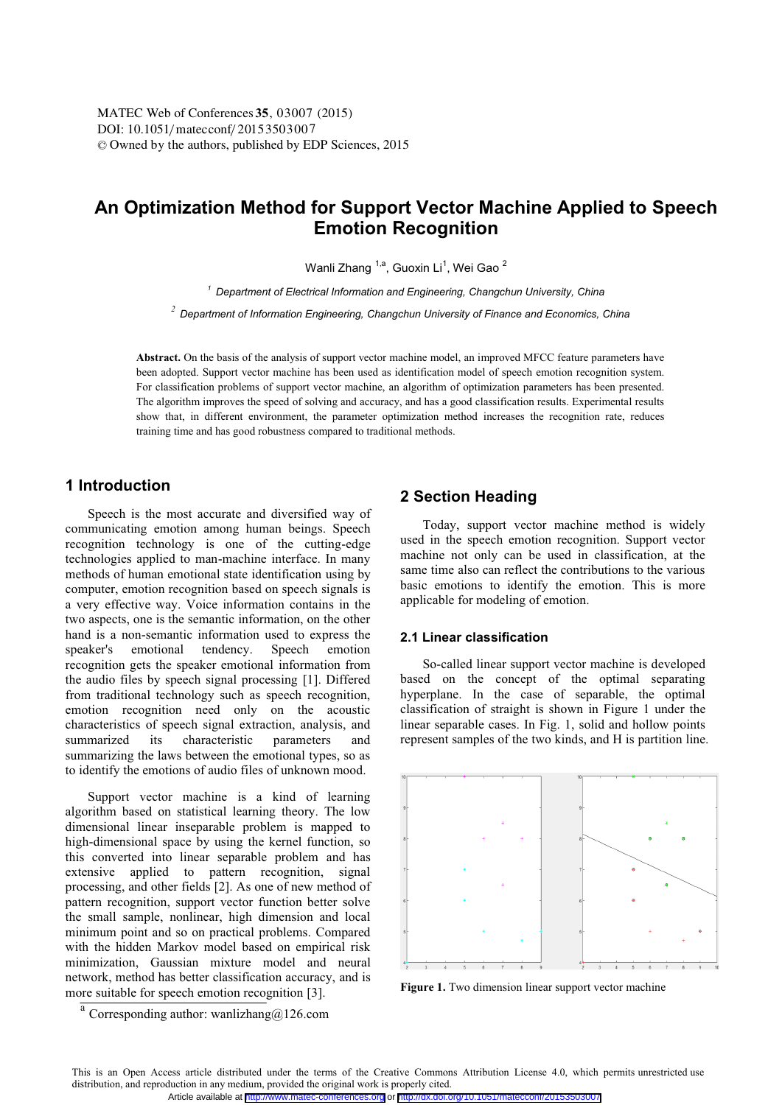# **An Optimization Method for Support Vector Machine Applied to Speech Emotion Recognition**

wanii Zhang mf, Guoxin Liff, wei Gao f

*<sup>1</sup> Department of Electrical Information and Engineering, Changchun University, China* 

*<sup>2</sup> Department of Information Engineering, Changchun University of Finance and Economics, China* 

**Abstract.** On the basis of the analysis of support vector machine model, an improved MFCC feature parameters have been adopted. Support vector machine has been used as identification model of speech emotion recognition system. For classification problems of support vector machine, an algorithm of optimization parameters has been presented. The algorithm improves the speed of solving and accuracy, and has a good classification results. Experimental results show that, in different environment, the parameter optimization method increases the recognition rate, reduces training time and has good robustness compared to traditional methods.

# **1 Introduction**

 Speech is the most accurate and diversified way of communicating emotion among human beings. Speech recognition technology is one of the cutting-edge technologies applied to man-machine interface. In many methods of human emotional state identification using by computer, emotion recognition based on speech signals is a very effective way. Voice information contains in the two aspects, one is the semantic information, on the other hand is a non-semantic information used to express the speaker's emotional tendency. Speech emotion recognition gets the speaker emotional information from the audio files by speech signal processing [1]. Differed from traditional technology such as speech recognition, emotion recognition need only on the acoustic characteristics of speech signal extraction, analysis, and summarized its characteristic parameters and summarizing the laws between the emotional types, so as to identify the emotions of audio files of unknown mood.

 Support vector machine is a kind of learning algorithm based on statistical learning theory. The low dimensional linear inseparable problem is mapped to high-dimensional space by using the kernel function, so this converted into linear separable problem and has extensive applied to pattern recognition, signal processing, and other fields [2]. As one of new method of pattern recognition, support vector function better solve the small sample, nonlinear, high dimension and local minimum point and so on practical problems. Compared with the hidden Markov model based on empirical risk minimization, Gaussian mixture model and neural network, method has better classification accuracy, and is more suitable for speech emotion recognition [3].

# **2 Section Heading**

 Today, support vector machine method is widely used in the speech emotion recognition. Support vector machine not only can be used in classification, at the same time also can reflect the contributions to the various basic emotions to identify the emotion. This is more applicable for modeling of emotion.

#### **2.1 Linear classification**

 So-called linear support vector machine is developed based on the concept of the optimal separating hyperplane. In the case of separable, the optimal classification of straight is shown in Figure 1 under the linear separable cases. In Fig. 1, solid and hollow points represent samples of the two kinds, and H is partition line.



**Figure 1.** Two dimension linear support vector machine

 $\sqrt{\frac{a}{c}}$  Corresponding author: wanlizhang@126.com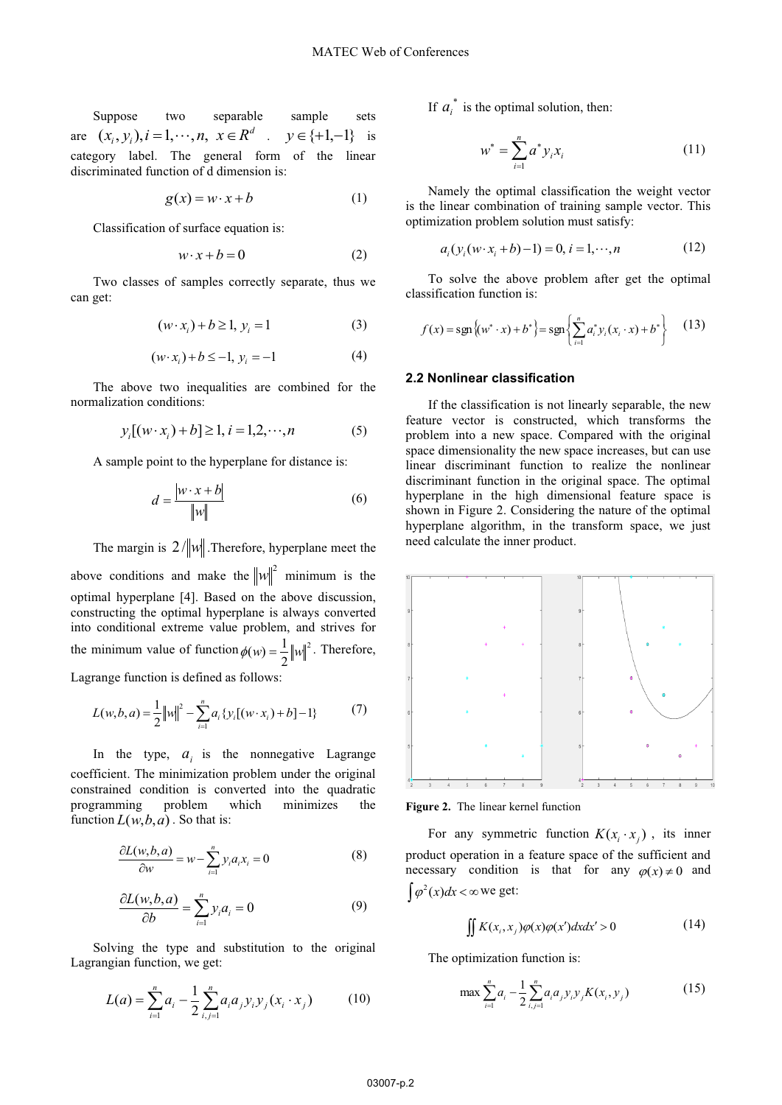Suppose two separable sample sets are  $(x_i, y_i)$ ,  $i = 1, \dots, n$ ,  $x \in R^d$  .  $y \in \{+1, -1\}$  is category label. The general form of the linear discriminated function of d dimension is:

$$
g(x) = w \cdot x + b \tag{1}
$$

Classification of surface equation is:

$$
w \cdot x + b = 0 \tag{2}
$$

 Two classes of samples correctly separate, thus we can get:

$$
(w \cdot x_i) + b \ge 1, y_i = 1 \tag{3}
$$

$$
(w \cdot x_i) + b \le -1, y_i = -1 \tag{4}
$$

 The above two inequalities are combined for the normalization conditions:

$$
y_i[(w \cdot x_i) + b] \ge 1, i = 1, 2, \dots, n
$$
 (5)

A sample point to the hyperplane for distance is:

$$
d = \frac{|w \cdot x + b|}{\|w\|} \tag{6}
$$

The margin is  $2/||w||$ . Therefore, hyperplane meet the

above conditions and make the  $\left\|w\right\|^2$  minimum is the optimal hyperplane [4]. Based on the above discussion, constructing the optimal hyperplane is always converted into conditional extreme value problem, and strives for the minimum value of function  $\phi(w) = \frac{1}{2} ||w||^2$  $\phi(w) = \frac{1}{2} ||w||^2$ . Therefore, Lagrange function is defined as follows:

$$
L(w, b, a) = \frac{1}{2} ||w||^2 - \sum_{i=1}^n a_i \{y_i[(w \cdot x_i) + b] - 1\}
$$
 (7)

In the type,  $a_i$  is the nonnegative Lagrange coefficient. The minimization problem under the original constrained condition is converted into the quadratic programming problem which minimizes the function  $L(w, b, a)$ . So that is:

$$
\frac{\partial L(w, b, a)}{\partial w} = w - \sum_{i=1}^{n} y_i a_i x_i = 0
$$
\n(8)

$$
\frac{\partial L(w, b, a)}{\partial b} = \sum_{i=1}^{n} y_i a_i = 0 \tag{9}
$$

 Solving the type and substitution to the original Lagrangian function, we get:

$$
L(a) = \sum_{i=1}^{n} a_i - \frac{1}{2} \sum_{i,j=1}^{n} a_i a_j y_i y_j (x_i \cdot x_j)
$$
 (10)

If  $a_i^*$  is the optimal solution, then:

$$
w^* = \sum_{i=1}^n a^* y_i x_i \tag{11}
$$

 Namely the optimal classification the weight vector is the linear combination of training sample vector. This optimization problem solution must satisfy:

$$
a_i(y_i(w \cdot x_i + b) - 1) = 0, i = 1, \dots, n
$$
 (12)

 To solve the above problem after get the optimal classification function is:

$$
f(x) = \text{sgn}\left\{ (w^* \cdot x) + b^* \right\} = \text{sgn}\left\{ \sum_{i=1}^n a_i^* y_i (x_i \cdot x) + b^* \right\} \tag{13}
$$

#### **2.2 Nonlinear classification**

 If the classification is not linearly separable, the new feature vector is constructed, which transforms the problem into a new space. Compared with the original space dimensionality the new space increases, but can use linear discriminant function to realize the nonlinear discriminant function in the original space. The optimal hyperplane in the high dimensional feature space is shown in Figure 2. Considering the nature of the optimal hyperplane algorithm, in the transform space, we just need calculate the inner product.



**Figure 2.** The linear kernel function

For any symmetric function  $K(x_i \cdot x_i)$ , its inner product operation in a feature space of the sufficient and necessary condition is that for any  $\varphi(x) \neq 0$  and  $\int \varphi^2(x) dx < \infty$  we get:

$$
\iint K(x_i, x_j)\varphi(x)\varphi(x')dx dx' > 0
$$
\n(14)

The optimization function is:

$$
\max \sum_{i=1}^{n} a_i - \frac{1}{2} \sum_{i,j=1}^{n} a_i a_j y_i y_j K(x_i, y_j)
$$
(15)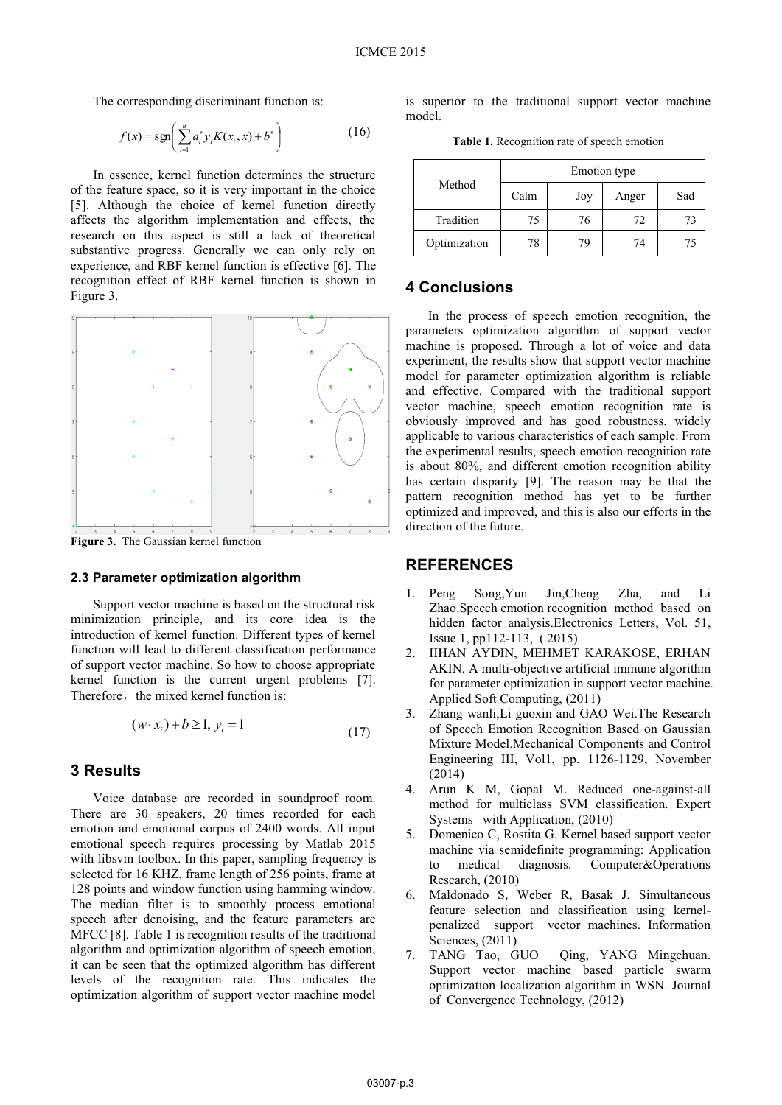The corresponding discriminant function is:

$$
f(x) = \text{sgn}\left(\sum_{i=1}^{n} a_i^* y_i K(x_i, x) + b^*\right)
$$
 (16)

 In essence, kernel function determines the structure of the feature space, so it is very important in the choice [5]. Although the choice of kernel function directly affects the algorithm implementation and effects, the research on this aspect is still a lack of theoretical substantive progress. Generally we can only rely on experience, and RBF kernel function is effective [6]. The recognition effect of RBF kernel function is shown in Figure 3.



**Figure 3.** The Gaussian kernel function

#### **2.3 Parameter optimization algorithm**

 Support vector machine is based on the structural risk minimization principle, and its core idea is the introduction of kernel function. Different types of kernel function will lead to different classification performance of support vector machine. So how to choose appropriate kernel function is the current urgent problems [7]. Therefore, the mixed kernel function is:

$$
(w \cdot x_i) + b \ge 1, y_i = 1 \tag{17}
$$

### **3 Results**

 Voice database are recorded in soundproof room. There are 30 speakers, 20 times recorded for each emotion and emotional corpus of 2400 words. All input emotional speech requires processing by Matlab 2015 with libsym toolbox. In this paper, sampling frequency is selected for 16 KHZ, frame length of 256 points, frame at 128 points and window function using hamming window. The median filter is to smoothly process emotional speech after denoising, and the feature parameters are MFCC [8]. Table 1 is recognition results of the traditional algorithm and optimization algorithm of speech emotion, it can be seen that the optimized algorithm has different levels of the recognition rate. This indicates the optimization algorithm of support vector machine model

is superior to the traditional support vector machine model.

**Table 1.** Recognition rate of speech emotion

| Method       | Emotion type |     |       |     |
|--------------|--------------|-----|-------|-----|
|              | Calm         | Joy | Anger | Sad |
| Tradition    | 75           | 76  | 72    | 73  |
| Optimization | 78           | 79  | 74    | 75  |

### **4 Conclusions**

 In the process of speech emotion recognition, the parameters optimization algorithm of support vector machine is proposed. Through a lot of voice and data experiment, the results show that support vector machine model for parameter optimization algorithm is reliable and effective. Compared with the traditional support vector machine, speech emotion recognition rate is obviously improved and has good robustness, widely applicable to various characteristics of each sample. From the experimental results, speech emotion recognition rate is about 80%, and different emotion recognition ability has certain disparity [9]. The reason may be that the pattern recognition method has yet to be further optimized and improved, and this is also our efforts in the direction of the future.

### **REFERENCES**

- 1. Peng Song,Yun Jin,Cheng Zha, and Li Zhao.Speech emotion recognition method based on hidden factor analysis.Electronics Letters, Vol. 51, Issue 1, pp112-113, ( 2015)
- 2. IIHAN AYDIN, MEHMET KARAKOSE, ERHAN AKIN. A multi-objective artificial immune algorithm for parameter optimization in support vector machine. Applied Soft Computing, (2011)
- 3. Zhang wanli,Li guoxin and GAO Wei.The Research of Speech Emotion Recognition Based on Gaussian Mixture Model.Mechanical Components and Control Engineering III, Vol1, pp. 1126-1129, November (2014)
- 4. Arun K M, Gopal M. Reduced one-against-all method for multiclass SVM classification. Expert Systems with Application, (2010)
- 5. Domenico C, Rostita G. Kernel based support vector machine via semidefinite programming: Application to medical diagnosis. Computer&Operations Research, (2010)
- 6. Maldonado S, Weber R, Basak J. Simultaneous feature selection and classification using kernelpenalized support vector machines. Information Sciences, (2011)<br>TANG Tao, GUO
- 7. TANG Tao, GUO Qing, YANG Mingchuan. Support vector machine based particle swarm optimization localization algorithm in WSN. Journal of Convergence Technology, (2012)